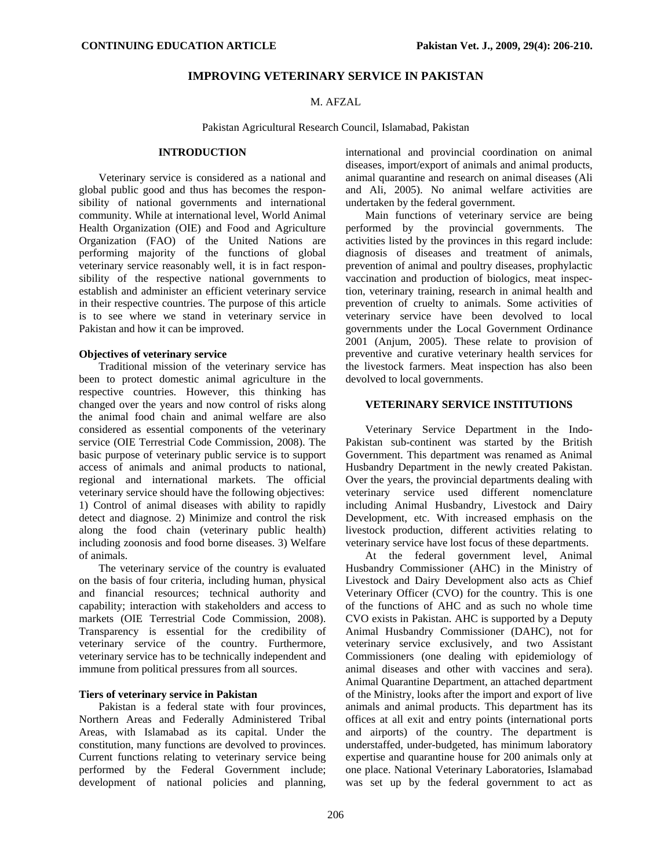## **IMPROVING VETERINARY SERVICE IN PAKISTAN**

# M. AFZAL

Pakistan Agricultural Research Council, Islamabad, Pakistan

# **INTRODUCTION**

Veterinary service is considered as a national and global public good and thus has becomes the responsibility of national governments and international community. While at international level, World Animal Health Organization (OIE) and Food and Agriculture Organization (FAO) of the United Nations are performing majority of the functions of global veterinary service reasonably well, it is in fact responsibility of the respective national governments to establish and administer an efficient veterinary service in their respective countries. The purpose of this article is to see where we stand in veterinary service in Pakistan and how it can be improved.

### **Objectives of veterinary service**

Traditional mission of the veterinary service has been to protect domestic animal agriculture in the respective countries. However, this thinking has changed over the years and now control of risks along the animal food chain and animal welfare are also considered as essential components of the veterinary service (OIE Terrestrial Code Commission, 2008). The basic purpose of veterinary public service is to support access of animals and animal products to national, regional and international markets. The official veterinary service should have the following objectives: 1) Control of animal diseases with ability to rapidly detect and diagnose. 2) Minimize and control the risk along the food chain (veterinary public health) including zoonosis and food borne diseases. 3) Welfare of animals.

The veterinary service of the country is evaluated on the basis of four criteria, including human, physical and financial resources; technical authority and capability; interaction with stakeholders and access to markets (OIE Terrestrial Code Commission, 2008). Transparency is essential for the credibility of veterinary service of the country. Furthermore, veterinary service has to be technically independent and immune from political pressures from all sources.

# **Tiers of veterinary service in Pakistan**

Pakistan is a federal state with four provinces, Northern Areas and Federally Administered Tribal Areas, with Islamabad as its capital. Under the constitution, many functions are devolved to provinces. Current functions relating to veterinary service being performed by the Federal Government include; development of national policies and planning,

international and provincial coordination on animal diseases, import/export of animals and animal products, animal quarantine and research on animal diseases (Ali and Ali, 2005). No animal welfare activities are undertaken by the federal government.

Main functions of veterinary service are being performed by the provincial governments. The activities listed by the provinces in this regard include: diagnosis of diseases and treatment of animals, prevention of animal and poultry diseases, prophylactic vaccination and production of biologics, meat inspection, veterinary training, research in animal health and prevention of cruelty to animals. Some activities of veterinary service have been devolved to local governments under the Local Government Ordinance 2001 (Anjum, 2005). These relate to provision of preventive and curative veterinary health services for the livestock farmers. Meat inspection has also been devolved to local governments.

### **VETERINARY SERVICE INSTITUTIONS**

Veterinary Service Department in the Indo-Pakistan sub-continent was started by the British Government. This department was renamed as Animal Husbandry Department in the newly created Pakistan. Over the years, the provincial departments dealing with veterinary service used different nomenclature including Animal Husbandry, Livestock and Dairy Development, etc. With increased emphasis on the livestock production, different activities relating to veterinary service have lost focus of these departments.

At the federal government level, Animal Husbandry Commissioner (AHC) in the Ministry of Livestock and Dairy Development also acts as Chief Veterinary Officer (CVO) for the country. This is one of the functions of AHC and as such no whole time CVO exists in Pakistan. AHC is supported by a Deputy Animal Husbandry Commissioner (DAHC), not for veterinary service exclusively, and two Assistant Commissioners (one dealing with epidemiology of animal diseases and other with vaccines and sera). Animal Quarantine Department, an attached department of the Ministry, looks after the import and export of live animals and animal products. This department has its offices at all exit and entry points (international ports and airports) of the country. The department is understaffed, under-budgeted, has minimum laboratory expertise and quarantine house for 200 animals only at one place. National Veterinary Laboratories, Islamabad was set up by the federal government to act as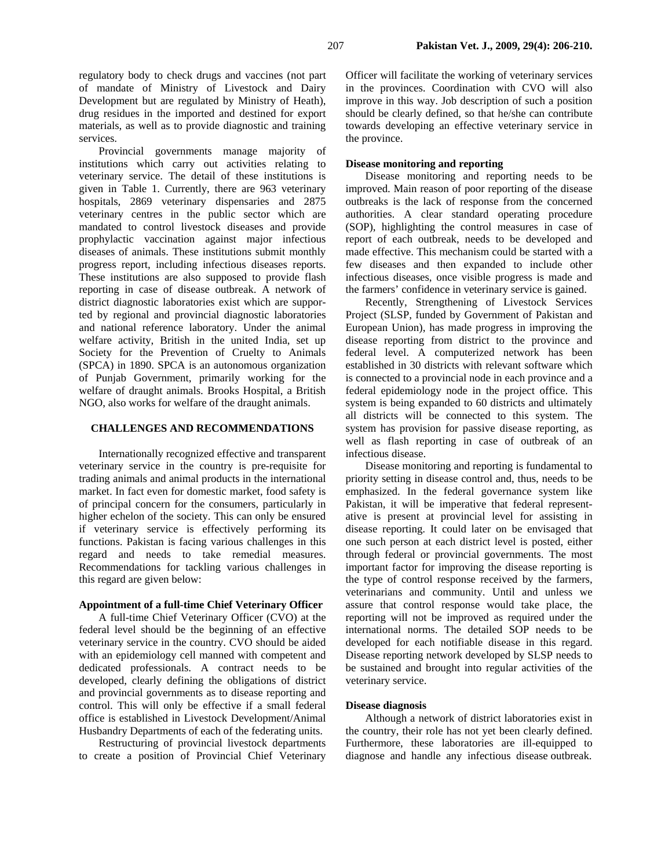regulatory body to check drugs and vaccines (not part of mandate of Ministry of Livestock and Dairy Development but are regulated by Ministry of Heath), drug residues in the imported and destined for export materials, as well as to provide diagnostic and training services.

Provincial governments manage majority of institutions which carry out activities relating to veterinary service. The detail of these institutions is given in Table 1. Currently, there are 963 veterinary hospitals, 2869 veterinary dispensaries and 2875 veterinary centres in the public sector which are mandated to control livestock diseases and provide prophylactic vaccination against major infectious diseases of animals. These institutions submit monthly progress report, including infectious diseases reports. These institutions are also supposed to provide flash reporting in case of disease outbreak. A network of district diagnostic laboratories exist which are supported by regional and provincial diagnostic laboratories and national reference laboratory. Under the animal welfare activity, British in the united India, set up Society for the Prevention of Cruelty to Animals (SPCA) in 1890. SPCA is an autonomous organization of Punjab Government, primarily working for the welfare of draught animals. Brooks Hospital, a British NGO, also works for welfare of the draught animals.

## **CHALLENGES AND RECOMMENDATIONS**

Internationally recognized effective and transparent veterinary service in the country is pre-requisite for trading animals and animal products in the international market. In fact even for domestic market, food safety is of principal concern for the consumers, particularly in higher echelon of the society. This can only be ensured if veterinary service is effectively performing its functions. Pakistan is facing various challenges in this regard and needs to take remedial measures. Recommendations for tackling various challenges in this regard are given below:

### **Appointment of a full-time Chief Veterinary Officer**

A full-time Chief Veterinary Officer (CVO) at the federal level should be the beginning of an effective veterinary service in the country. CVO should be aided with an epidemiology cell manned with competent and dedicated professionals. A contract needs to be developed, clearly defining the obligations of district and provincial governments as to disease reporting and control. This will only be effective if a small federal office is established in Livestock Development/Animal Husbandry Departments of each of the federating units.

Restructuring of provincial livestock departments to create a position of Provincial Chief Veterinary Officer will facilitate the working of veterinary services in the provinces. Coordination with CVO will also improve in this way. Job description of such a position should be clearly defined, so that he/she can contribute towards developing an effective veterinary service in the province.

### **Disease monitoring and reporting**

Disease monitoring and reporting needs to be improved. Main reason of poor reporting of the disease outbreaks is the lack of response from the concerned authorities. A clear standard operating procedure (SOP), highlighting the control measures in case of report of each outbreak, needs to be developed and made effective. This mechanism could be started with a few diseases and then expanded to include other infectious diseases, once visible progress is made and the farmers' confidence in veterinary service is gained.

Recently, Strengthening of Livestock Services Project (SLSP, funded by Government of Pakistan and European Union), has made progress in improving the disease reporting from district to the province and federal level. A computerized network has been established in 30 districts with relevant software which is connected to a provincial node in each province and a federal epidemiology node in the project office. This system is being expanded to 60 districts and ultimately all districts will be connected to this system. The system has provision for passive disease reporting, as well as flash reporting in case of outbreak of an infectious disease.

Disease monitoring and reporting is fundamental to priority setting in disease control and, thus, needs to be emphasized. In the federal governance system like Pakistan, it will be imperative that federal representative is present at provincial level for assisting in disease reporting. It could later on be envisaged that one such person at each district level is posted, either through federal or provincial governments. The most important factor for improving the disease reporting is the type of control response received by the farmers, veterinarians and community. Until and unless we assure that control response would take place, the reporting will not be improved as required under the international norms. The detailed SOP needs to be developed for each notifiable disease in this regard. Disease reporting network developed by SLSP needs to be sustained and brought into regular activities of the veterinary service.

#### **Disease diagnosis**

Although a network of district laboratories exist in the country, their role has not yet been clearly defined. Furthermore, these laboratories are ill-equipped to diagnose and handle any infectious disease outbreak.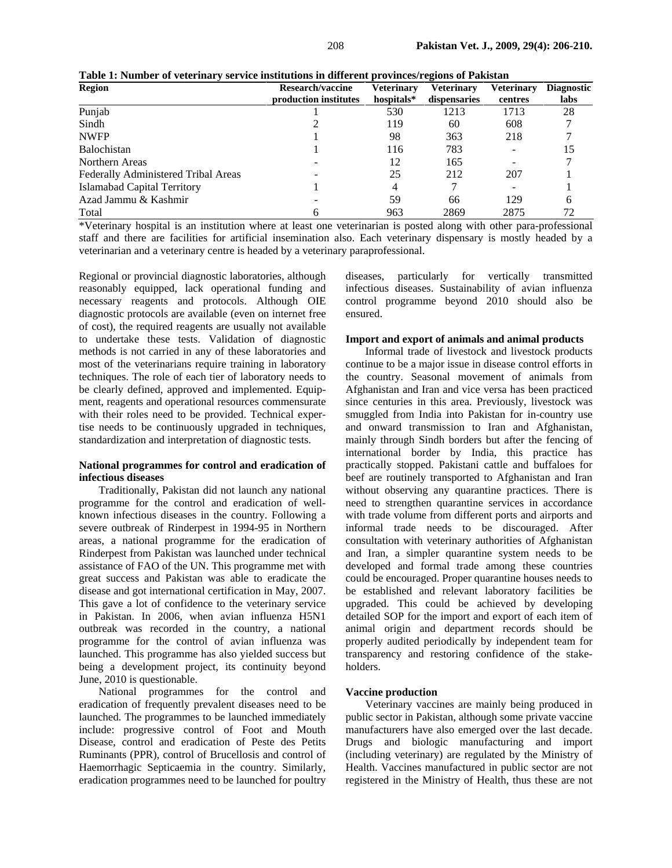| <b>Region</b>                       | Research/vaccine      | Veterinary | <b>Veterinary</b> | Veterinary | <b>Diagnostic</b> |
|-------------------------------------|-----------------------|------------|-------------------|------------|-------------------|
|                                     | production institutes | hospitals* | dispensaries      | centres    | labs              |
| Punjab                              |                       | 530        | 1213              | 1713       | 28                |
| Sindh                               |                       | 119        | 60                | 608        |                   |
| <b>NWFP</b>                         |                       | 98         | 363               | 218        |                   |
| <b>Balochistan</b>                  |                       | 116        | 783               |            |                   |
| Northern Areas                      |                       | 12         | 165               |            |                   |
| Federally Administered Tribal Areas |                       | 25         | 212               | 207        |                   |
| Islamabad Capital Territory         |                       | 4          |                   |            |                   |
| Azad Jammu & Kashmir                |                       | 59         | 66                | 129        | ი                 |
| Total                               | 6                     | 963        | 2869              | 2875       | 72                |

**Table 1: Number of veterinary service institutions in different provinces/regions of Pakistan** 

\*Veterinary hospital is an institution where at least one veterinarian is posted along with other para-professional staff and there are facilities for artificial insemination also. Each veterinary dispensary is mostly headed by a veterinarian and a veterinary centre is headed by a veterinary paraprofessional.

Regional or provincial diagnostic laboratories, although reasonably equipped, lack operational funding and necessary reagents and protocols. Although OIE diagnostic protocols are available (even on internet free of cost), the required reagents are usually not available to undertake these tests. Validation of diagnostic methods is not carried in any of these laboratories and most of the veterinarians require training in laboratory techniques. The role of each tier of laboratory needs to be clearly defined, approved and implemented. Equipment, reagents and operational resources commensurate with their roles need to be provided. Technical expertise needs to be continuously upgraded in techniques, standardization and interpretation of diagnostic tests.

### **National programmes for control and eradication of infectious diseases**

Traditionally, Pakistan did not launch any national programme for the control and eradication of wellknown infectious diseases in the country. Following a severe outbreak of Rinderpest in 1994-95 in Northern areas, a national programme for the eradication of Rinderpest from Pakistan was launched under technical assistance of FAO of the UN. This programme met with great success and Pakistan was able to eradicate the disease and got international certification in May, 2007. This gave a lot of confidence to the veterinary service in Pakistan. In 2006, when avian influenza H5N1 outbreak was recorded in the country, a national programme for the control of avian influenza was launched. This programme has also yielded success but being a development project, its continuity beyond June, 2010 is questionable.

National programmes for the control and eradication of frequently prevalent diseases need to be launched. The programmes to be launched immediately include: progressive control of Foot and Mouth Disease, control and eradication of Peste des Petits Ruminants (PPR), control of Brucellosis and control of Haemorrhagic Septicaemia in the country. Similarly, eradication programmes need to be launched for poultry

diseases, particularly for vertically transmitted infectious diseases. Sustainability of avian influenza control programme beyond 2010 should also be ensured.

### **Import and export of animals and animal products**

Informal trade of livestock and livestock products continue to be a major issue in disease control efforts in the country. Seasonal movement of animals from Afghanistan and Iran and vice versa has been practiced since centuries in this area. Previously, livestock was smuggled from India into Pakistan for in-country use and onward transmission to Iran and Afghanistan, mainly through Sindh borders but after the fencing of international border by India, this practice has practically stopped. Pakistani cattle and buffaloes for beef are routinely transported to Afghanistan and Iran without observing any quarantine practices. There is need to strengthen quarantine services in accordance with trade volume from different ports and airports and informal trade needs to be discouraged. After consultation with veterinary authorities of Afghanistan and Iran, a simpler quarantine system needs to be developed and formal trade among these countries could be encouraged. Proper quarantine houses needs to be established and relevant laboratory facilities be upgraded. This could be achieved by developing detailed SOP for the import and export of each item of animal origin and department records should be properly audited periodically by independent team for transparency and restoring confidence of the stakeholders.

#### **Vaccine production**

Veterinary vaccines are mainly being produced in public sector in Pakistan, although some private vaccine manufacturers have also emerged over the last decade. Drugs and biologic manufacturing and import (including veterinary) are regulated by the Ministry of Health. Vaccines manufactured in public sector are not registered in the Ministry of Health, thus these are not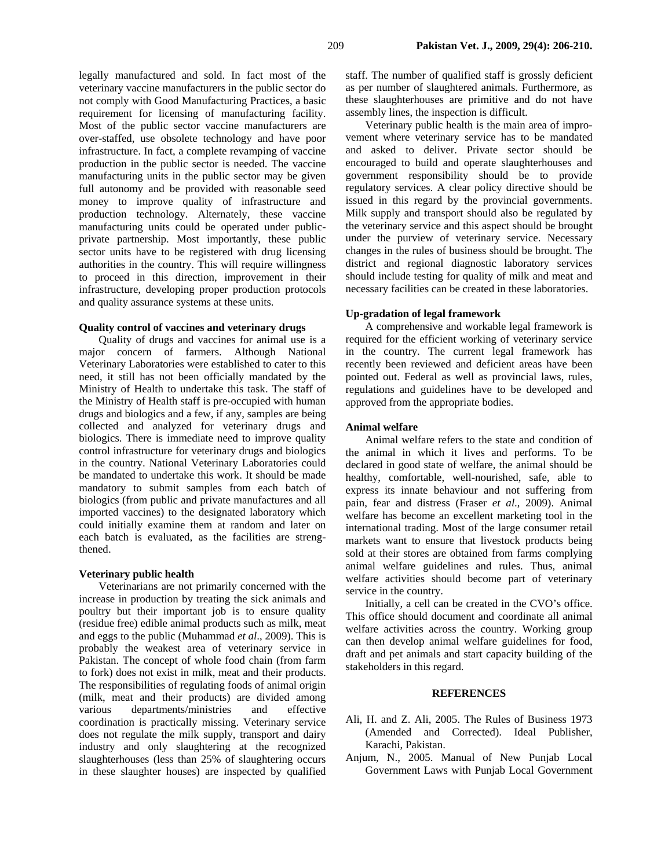legally manufactured and sold. In fact most of the veterinary vaccine manufacturers in the public sector do not comply with Good Manufacturing Practices, a basic requirement for licensing of manufacturing facility. Most of the public sector vaccine manufacturers are over-staffed, use obsolete technology and have poor infrastructure. In fact, a complete revamping of vaccine production in the public sector is needed. The vaccine manufacturing units in the public sector may be given full autonomy and be provided with reasonable seed money to improve quality of infrastructure and production technology. Alternately, these vaccine manufacturing units could be operated under publicprivate partnership. Most importantly, these public sector units have to be registered with drug licensing authorities in the country. This will require willingness to proceed in this direction, improvement in their infrastructure, developing proper production protocols and quality assurance systems at these units.

### **Quality control of vaccines and veterinary drugs**

Quality of drugs and vaccines for animal use is a major concern of farmers. Although National Veterinary Laboratories were established to cater to this need, it still has not been officially mandated by the Ministry of Health to undertake this task. The staff of the Ministry of Health staff is pre-occupied with human drugs and biologics and a few, if any, samples are being collected and analyzed for veterinary drugs and biologics. There is immediate need to improve quality control infrastructure for veterinary drugs and biologics in the country. National Veterinary Laboratories could be mandated to undertake this work. It should be made mandatory to submit samples from each batch of biologics (from public and private manufactures and all imported vaccines) to the designated laboratory which could initially examine them at random and later on each batch is evaluated, as the facilities are strengthened.

#### **Veterinary public health**

Veterinarians are not primarily concerned with the increase in production by treating the sick animals and poultry but their important job is to ensure quality (residue free) edible animal products such as milk, meat and eggs to the public (Muhammad *et al*., 2009). This is probably the weakest area of veterinary service in Pakistan. The concept of whole food chain (from farm to fork) does not exist in milk, meat and their products. The responsibilities of regulating foods of animal origin (milk, meat and their products) are divided among various departments/ministries and effective coordination is practically missing. Veterinary service does not regulate the milk supply, transport and dairy industry and only slaughtering at the recognized slaughterhouses (less than 25% of slaughtering occurs in these slaughter houses) are inspected by qualified

staff. The number of qualified staff is grossly deficient as per number of slaughtered animals. Furthermore, as these slaughterhouses are primitive and do not have assembly lines, the inspection is difficult.

Veterinary public health is the main area of improvement where veterinary service has to be mandated and asked to deliver. Private sector should be encouraged to build and operate slaughterhouses and government responsibility should be to provide regulatory services. A clear policy directive should be issued in this regard by the provincial governments. Milk supply and transport should also be regulated by the veterinary service and this aspect should be brought under the purview of veterinary service. Necessary changes in the rules of business should be brought. The district and regional diagnostic laboratory services should include testing for quality of milk and meat and necessary facilities can be created in these laboratories.

### **Up-gradation of legal framework**

A comprehensive and workable legal framework is required for the efficient working of veterinary service in the country. The current legal framework has recently been reviewed and deficient areas have been pointed out. Federal as well as provincial laws, rules, regulations and guidelines have to be developed and approved from the appropriate bodies.

# **Animal welfare**

Animal welfare refers to the state and condition of the animal in which it lives and performs. To be declared in good state of welfare, the animal should be healthy, comfortable, well-nourished, safe, able to express its innate behaviour and not suffering from pain, fear and distress (Fraser *et al*., 2009). Animal welfare has become an excellent marketing tool in the international trading. Most of the large consumer retail markets want to ensure that livestock products being sold at their stores are obtained from farms complying animal welfare guidelines and rules. Thus, animal welfare activities should become part of veterinary service in the country.

Initially, a cell can be created in the CVO's office. This office should document and coordinate all animal welfare activities across the country. Working group can then develop animal welfare guidelines for food, draft and pet animals and start capacity building of the stakeholders in this regard.

### **REFERENCES**

- Ali, H. and Z. Ali, 2005. The Rules of Business 1973 (Amended and Corrected). Ideal Publisher, Karachi, Pakistan.
- Anjum, N., 2005. Manual of New Punjab Local Government Laws with Punjab Local Government